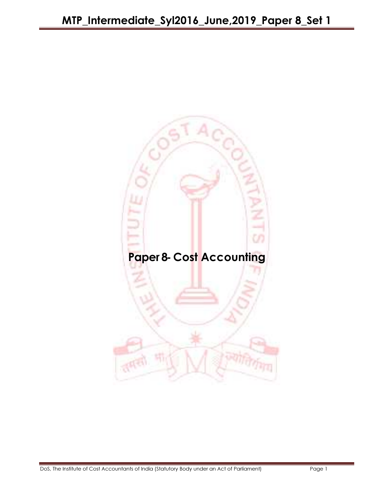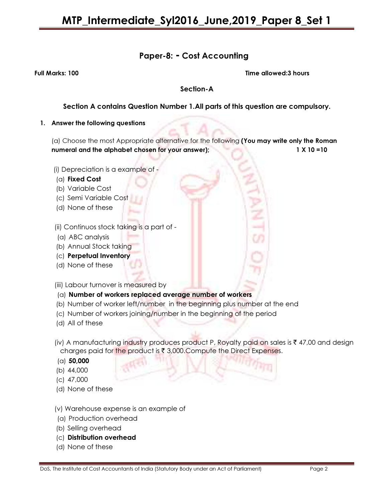# Paper-8: - Cost Accounting

Full Marks: 100 Time allowed:3 hours

### Section-A

## Section A contains Question Number 1.All parts of this question are compulsory.

#### 1. Answer the following questions

(a) Choose the most Appropriate alternative for the following (You may write only the Roman numeral and the alphabet chosen for your answer); 1 X 10 =10

- (i) Depreciation is a example of -
- (a) Fixed Cost
- (b) Variable Cost
- (c) Semi Variable Cost
- (d) None of these

(ii) Continuos stock taking is a part of -

- (a) ABC analysis
- (b) Annual Stock taking
- (c) Perpetual Inventory
- (d) None of these
- (iii) Labour turnover is measured by
- (a) Number of workers replaced average number of workers
- (b) Number of worker left/number in the beginning plus number at the end
- (c) Number of workers joining/number in the beginning of the period
- (d) All of these
- (iv) A manufacturing industry produces product P, Royalty paid on sales is  $\bar{\tau}$  47,00 and design charges paid for the product is  $\bar{x}$  3,000. Compute the Direct Expenses.
- (a) 50,000
- (b) 44,000
- (c) 47,000
- (d) None of these
- (v) Warehouse expense is an example of
- (a) Production overhead
- (b) Selling overhead
- (c) Distribution overhead
- (d) None of these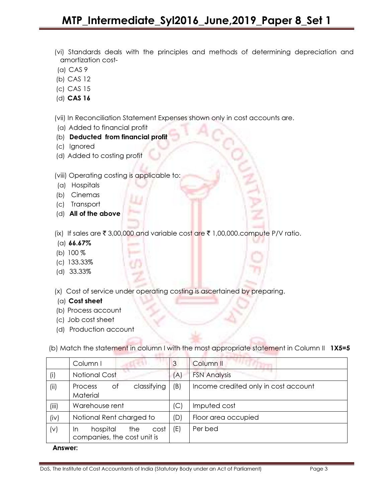- (vi) Standards deals with the principles and methods of determining depreciation and amortization cost-
- (a) CAS 9
- (b) CAS 12
- (c) CAS 15
- (d) CAS 16

(vii) In Reconciliation Statement Expenses shown only in cost accounts are.

- (a) Added to financial profit
- (b) Deducted from financial profit
- (c) Ignored
- (d) Added to costing profit

(viii) Operating costing is applicable to:

- (a) Hospitals
- (b) Cinemas
- (c) Transport
- (d) All of the above

(ix) If sales are  $\bar{\tau}$  3,00,000 and variable cost are  $\bar{\tau}$  1,00,000.compute P/V ratio.

- (a)  $66.67\%$
- (b) 100 %
- (c) 133.33%
- (d) 33.33%

(x) Cost of service under operating costing is ascertained by preparing.

- (a) Cost sheet
- (b) Process account
- (c) Job cost sheet
- (d) Production account

(b) Match the statement in column I with the most appropriate statement in Column II 1X5=5

|       | Column I                                                     | 3   | Column II                            |
|-------|--------------------------------------------------------------|-----|--------------------------------------|
| (i)   | <b>Notional Cost</b>                                         | (A) | <b>FSN Analysis</b>                  |
| (ii)  | classifying<br>Оf<br>Process<br>Material                     | (B) | Income credited only in cost account |
| (iii) | Warehouse rent                                               | (C) | Imputed cost                         |
| (iv)  | Notional Rent charged to                                     | (D) | Floor area occupied                  |
| (v)   | hospital<br>cost<br>the<br>In<br>companies, the cost unit is | (E) | Per bed                              |

#### Answer: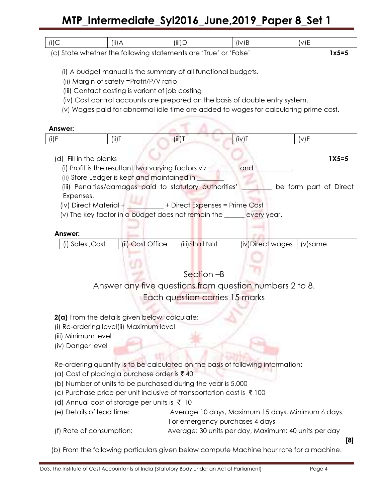# MTP\_Intermediate\_Syl2016\_June,2019\_Paper 8\_Set 1

| $(i)$ C                                                                          | (ii)A                                                                    | $(iii)$ D                                                                    | $(iv)$ B | (v)E                                                                                 |  |  |
|----------------------------------------------------------------------------------|--------------------------------------------------------------------------|------------------------------------------------------------------------------|----------|--------------------------------------------------------------------------------------|--|--|
|                                                                                  |                                                                          | (c) State whether the following statements are 'True' or 'False'             |          | $1x5=5$                                                                              |  |  |
|                                                                                  |                                                                          |                                                                              |          |                                                                                      |  |  |
|                                                                                  |                                                                          | (i) A budget manual is the summary of all functional budgets.                |          |                                                                                      |  |  |
|                                                                                  |                                                                          |                                                                              |          |                                                                                      |  |  |
|                                                                                  | (ii) Margin of safety =Profit/P/V ratio                                  |                                                                              |          |                                                                                      |  |  |
|                                                                                  | (iii) Contact costing is variant of job costing                          |                                                                              |          |                                                                                      |  |  |
|                                                                                  |                                                                          | (iv) Cost control accounts are prepared on the basis of double entry system. |          |                                                                                      |  |  |
|                                                                                  |                                                                          |                                                                              |          | (v) Wages paid for abnormal idle time are added to wages for calculating prime cost. |  |  |
|                                                                                  |                                                                          |                                                                              |          |                                                                                      |  |  |
|                                                                                  |                                                                          |                                                                              |          |                                                                                      |  |  |
| Answer:                                                                          |                                                                          |                                                                              |          |                                                                                      |  |  |
| $(i)$ F                                                                          | $(iii)$ T                                                                | $(iii)$ T                                                                    | (iv)T    | (v)F                                                                                 |  |  |
|                                                                                  |                                                                          |                                                                              |          |                                                                                      |  |  |
|                                                                                  | (d) Fill in the blanks                                                   |                                                                              |          | $1X5=5$                                                                              |  |  |
|                                                                                  |                                                                          |                                                                              |          |                                                                                      |  |  |
|                                                                                  | (i) Profit is the resultant two varying factors viz $\frac{1}{2}$<br>and |                                                                              |          |                                                                                      |  |  |
| (ii) Store Ledger is kept and maintained in <b>warehoust</b>                     |                                                                          |                                                                              |          |                                                                                      |  |  |
| (iii) Penalties/damages paid to statutory authorities'<br>be form part of Direct |                                                                          |                                                                              |          |                                                                                      |  |  |
| Expenses.                                                                        |                                                                          |                                                                              |          |                                                                                      |  |  |
|                                                                                  |                                                                          | (iv) Direct Material + _________ + Direct Expenses = Prime Cost              |          |                                                                                      |  |  |
|                                                                                  |                                                                          |                                                                              |          |                                                                                      |  |  |

(v) The key factor in a budget does not remain the \_\_\_\_\_\_ every year.

### Answer:

| (i) Sales, Cost | (ii) Cost Office | (iii)Shall Not | (iv)Direct wages   (v)same |  |
|-----------------|------------------|----------------|----------------------------|--|

Section –B

Answer any five questions from question numbers 2 to 8.

Each question carries 15 marks

2(a) From the details given below, calculate:

(i) Re-ordering level(ii) Maximum level

(iii) Minimum level

(iv) Danger level

Re-ordering quantity is to be calculated on the basis of following information:

(a) Cost of placing a purchase order is  $\bar{x}$  40

(b) Number of units to be purchased during the year is 5,000

(c) Purchase price per unit inclusive of transportation cost is  $\bar{\tau}$  100

(d) Annual cost of storage per units is  $\bar{\tau}$  10

(e) Details of lead time: Average 10 days, Maximum 15 days, Minimum 6 days. For emergency purchases 4 days

(f) Rate of consumption: Average: 30 units per day, Maximum: 40 units per day

[8]

(b) From the following particulars given below compute Machine hour rate for a machine.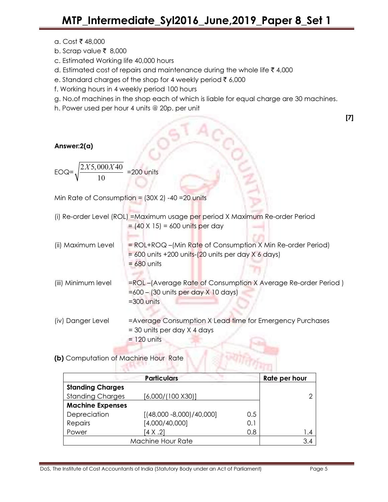- $a.$  Cost ₹ 48,000
- b. Scrap value  $\bar{\tau}$  8,000
- c. Estimated Working life 40,000 hours
- d. Estimated cost of repairs and maintenance during the whole life  $\bar{\tau}$  4,000
- e. Standard charges of the shop for 4 weekly period  $\bar{\tau}$  6,000
- f. Working hours in 4 weekly period 100 hours
- g. No.of machines in the shop each of which is liable for equal charge are 30 machines.
- h. Power used per hour 4 units @ 20p. per unit

| Answer:2(a)                                                      |                                                                                                                                             |  |  |  |  |
|------------------------------------------------------------------|---------------------------------------------------------------------------------------------------------------------------------------------|--|--|--|--|
| $\frac{2X5,000X40}{10}$ =200 units<br>$EOQ = \sqrt{\frac{1}{2}}$ |                                                                                                                                             |  |  |  |  |
|                                                                  | Min Rate of Consumption = $(30X 2)$ -40 = 20 units                                                                                          |  |  |  |  |
|                                                                  | (i) Re-order Level (ROL) = Maximum usage per period X Maximum Re-order Period<br>$= (40 \times 15) = 600$ units per day                     |  |  |  |  |
| (ii) Maximum Level                                               | $=$ ROL+ROQ –(Min Rate of Consumption X Min Re-order Period)<br>$= 600$ units +200 units- $(20$ units per day X 6 days)<br>$= 680$ units    |  |  |  |  |
| (iii) Minimum level                                              | =ROL-(Average Rate of Consumption X Average Re-order Period)<br>$=600 - (30 \text{ units per day } \times 10 \text{ days})$<br>$=300$ units |  |  |  |  |
| (iv) Danger Level                                                | =Average Consumption X Lead time for Emergency Purchases<br>= 30 units per day X 4 days<br>$= 120$ units                                    |  |  |  |  |

(b) Computation of Machine Hour Rate

|                         | <b>Particulars</b>          |     | Rate per hour |
|-------------------------|-----------------------------|-----|---------------|
| <b>Standing Charges</b> |                             |     |               |
| <b>Standing Charges</b> | [6,000/(100 X30)]           |     |               |
| <b>Machine Expenses</b> |                             |     |               |
| Depreciation            | $[(48,000 - 8,000)/40,000]$ | 0.5 |               |
| Repairs                 | [4,000/40,000]              | 0.1 |               |
| Power                   | $[4 \times .2]$             | 0.8 | 1.4           |
|                         | Machine Hour Rate           |     | 3.4           |

**SENTRY TO** 

[7]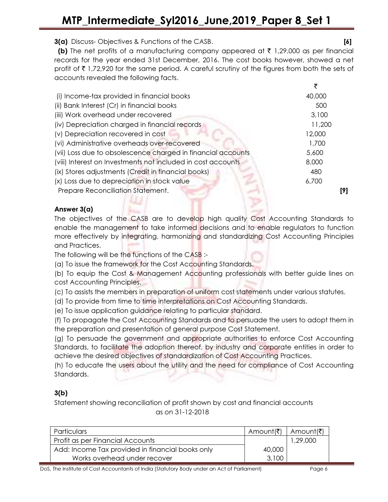3(a) Discuss- Objectives & Functions of the CASB. [6]

**(b)** The net profits of a manufacturing company appeared at  $\bar{\tau}$  1,29,000 as per financial records for the year ended 31st December, 2016. The cost books however, showed a net profit of  $\bar{\tau}$  1,72,920 for the same period. A careful scrutiny of the figures from both the sets of accounts revealed the following facts.

| (i) Income-tax provided in financial books                   | 40,000 |  |
|--------------------------------------------------------------|--------|--|
| (ii) Bank Interest (Cr) in financial books                   | 500    |  |
| (iii) Work overhead under recovered                          | 3,100  |  |
| (iv) Depreciation charged in financial records               | 11,200 |  |
| (v) Depreciation recovered in cost                           | 12,000 |  |
| (vi) Administrative overheads over-recovered                 | 1,700  |  |
| (vii) Loss due to obsolescence charged in financial accounts | 5,600  |  |
| (viii) Interest on Investments not included in cost accounts | 8,000  |  |
| (ix) Stores adjustments (Credit in financial books)          | 480    |  |
| (x) Loss due to depreciation in stock value                  | 6,700  |  |
| Prepare Reconciliation Statement.                            | 191    |  |
|                                                              |        |  |

# Answer 3(a)

The objectives of the CASB are to develop high quality Cost Accounting Standards to enable the management to take informed decisions and to enable regulators to function more effectively by integrating, harmonizing and standardizing Cost Accounting Principles and Practices.

The following will be the functions of the CASB :-

(a) To issue the framework for the Cost Accounting Standards.

(b) To equip the Cost & Management Accounting professionals with better guide lines on cost Accounting Principles.

(c) To assists the members in preparation of uniform cost statements under various statutes.

(d) To provide from time to time interpretations on Cost Accounting Standards.

(e) To issue application guidance relating to particular standard.

(f) To propagate the Cost Accounting Standards and to persuade the users to adopt them in the preparation and presentation of general purpose Cost Statement.

(g) To persuade the government and appropriate authorities to enforce Cost Accounting Standards, to facilitate the adoption thereof, by industry and corporate entities in order to achieve the desired objectives of standardization of Cost Accounting Practices.

(h) To educate the users about the utility and the need for compliance of Cost Accounting Standards.

# 3(b)

Statement showing reconciliation of profit shown by cost and financial accounts as on 31-12-2018

| <b>Particulars</b>                               | Amount(₹)   Amount(₹) |          |
|--------------------------------------------------|-----------------------|----------|
| Profit as per Financial Accounts                 |                       | 1,29,000 |
| Add: Income Tax provided in financial books only | 40,000                |          |
| Works overhead under recover                     | 3,100                 |          |

DoS, The Institute of Cost Accountants of India (Statutory Body under an Act of Parliament) Page 6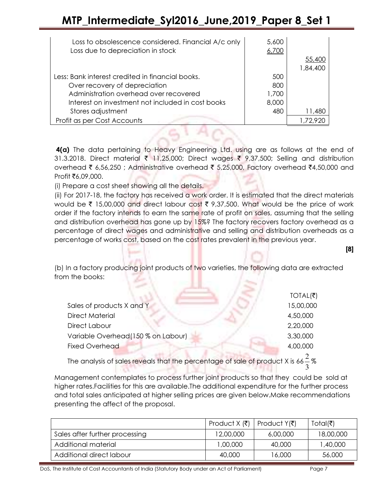# MTP\_Intermediate\_Syl2016\_June,2019\_Paper 8\_Set 1

| Loss to obsolescence considered. Financial A/c only<br>Loss due to depreciation in stock | 5,600<br>6,700 |          |
|------------------------------------------------------------------------------------------|----------------|----------|
|                                                                                          |                | 55,400   |
|                                                                                          |                | 1,84,400 |
| Less: Bank interest credited in financial books.                                         | 500            |          |
| Over recovery of depreciation                                                            | 800            |          |
| Administration overhead over recovered                                                   | 1,700          |          |
| Interest on investment not included in cost books                                        | 8,000          |          |
| Stores adjustment                                                                        | 480            | 11,480   |
| Profit as per Cost Accounts                                                              |                | 1.72.920 |

4(a) The data pertaining to Heavy Engineering Ltd. using are as follows at the end of 31.3.2018. Direct material  $\bar{\tau}$  11,25,000; Direct wages  $\bar{\tau}$  9,37,500; Selling and distribution overhead ₹ 6,56,250 ; Administrative overhead ₹ 5,25,000, Factory overhead ₹4,50,000 and  $Profit$  $76,09,000$ .

(i) Prepare a cost sheet showing all the details.

(ii) For 2017-18, the factory has received a work order. It is estimated that the direct materials would be  $\bar{\tau}$  15,00,000 and direct labour cost  $\bar{\tau}$  9,37,500. What would be the price of work order if the factory intends to earn the same rate of profit on sales, assuming that the selling and distribution overhead has gone up by 15%? The factory recovers factory overhead as a percentage of direct wages and administrative and selling and distribution overheads as a percentage of works cost, based on the cost rates prevalent in the previous year.

[8]

(b) In a factory producing joint products of two varieties, the following data are extracted from the books:

|                                     | $TOTAL($ ₹) |
|-------------------------------------|-------------|
| Sales of products X and Y           | 15,00,000   |
| <b>Direct Material</b>              | 4,50,000    |
| Direct Labour                       | 2,20,000    |
| Variable Overhead (150 % on Labour) | 3,30,000    |
| <b>Fixed Overhead</b>               | 4,00,000    |
|                                     |             |

The analysis of sales reveals that the percentage of sale of product X is  $66\frac{2}{3}\%$ 

Management contemplates to process further joint products so that they could be sold at higher rates.Facilities for this are available.The additional expenditure for the further process and total sales anticipated at higher selling prices are given below.Make recommendations presenting the affect of the proposal.

|                                | Product $X(\overline{\mathfrak{k}})$ | Product $Y(\bar{\zeta})$ | Total(₹)  |
|--------------------------------|--------------------------------------|--------------------------|-----------|
| Sales after further processing | 12,00,000                            | 6,00,000                 | 18,00,000 |
| Additional material            | 1,00,000                             | 40.000                   | 1,40,000  |
| Additional direct labour       | 40.000                               | 16.000                   | 56,000    |

DoS, The Institute of Cost Accountants of India (Statutory Body under an Act of Parliament) Page 7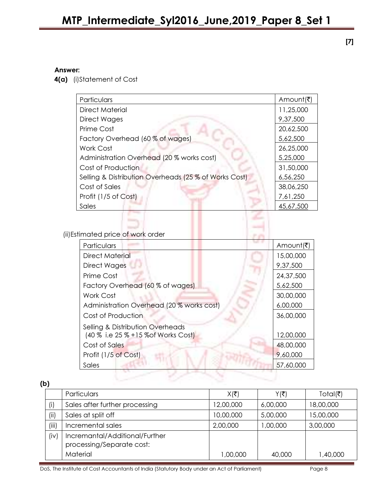[7]

## Answer:

4(a) (i)Statement of Cost

| Particulars                                           | Amount(₹) |
|-------------------------------------------------------|-----------|
| <b>Direct Material</b>                                | 11,25,000 |
| Direct Wages                                          | 9,37,500  |
| Prime Cost                                            | 20,62,500 |
| Factory Overhead (60 % of wages)                      | 5,62,500  |
| Work Cost                                             | 26,25,000 |
| Administration Overhead (20 % works cost)             | 5,25,000  |
| Cost of Production                                    | 31,50,000 |
| Selling & Distribution Overheads (25 % of Works Cost) | 6,56,250  |
| Cost of Sales                                         | 38,06,250 |
| Profit (1/5 of Cost)                                  | 7,61,250  |
| Sales                                                 | 45,67,500 |

(ii)Estimated price of work order

| Particulars                                 | Amount(₹) |
|---------------------------------------------|-----------|
| Direct Material                             | 15,00,000 |
| <b>Direct Wages</b>                         | 9,37,500  |
| Prime Cost                                  | 24,37,500 |
| Factory Overhead (60 % of wages)            | 5,62,500  |
| Work Cost                                   | 30,00,000 |
| Administration Overhead (20 % works cost)   | 6,00,000  |
| Cost of Production                          | 36,00,000 |
| <b>Selling &amp; Distribution Overheads</b> |           |
| (40 % i.e 25 % + 15 % of Works Cost)        | 12,00,000 |
| Cost of Sales                               | 48,00,000 |
| Profit (1/5 of Cost)                        | 9,60,000  |
| Sales                                       | 57,60,000 |
|                                             |           |

(b)

|       | Particulars                                                 | $X(ೆ$ ₹   | Y(₹)     | Total( $\bar{z}$ ) |
|-------|-------------------------------------------------------------|-----------|----------|--------------------|
| (i)   | Sales after further processing                              | 12,00,000 | 6,00,000 | 18,00,000          |
| (i)   | Sales at split off                                          | 10,00,000 | 5,00,000 | 15,00,000          |
| (iii) | Incremental sales                                           | 2,00,000  | 1,00,000 | 3,00,000           |
| (iv)  | Incremantal/Additional/Further<br>processing/Separate cost: |           |          |                    |
|       | Material                                                    | 1,00,000  | 40,000   | 1,40,000           |

DoS, The Institute of Cost Accountants of India (Statutory Body under an Act of Parliament) Page 8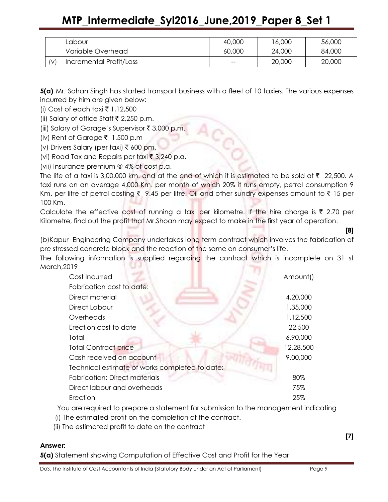|                                  | Labour                  | 40,000 | 6,000  | 56,000 |
|----------------------------------|-------------------------|--------|--------|--------|
|                                  | Variable Overhead       | 60,000 | 24,000 | 84,000 |
| $\mathsf{[}\mathsf{v}\mathsf{]}$ | Incremental Profit/Loss | $- -$  | 20,000 | 20,000 |

5(a) Mr. Sohan Singh has started transport business with a fleet of 10 taxies. The various expenses incurred by him are given below:

(i) Cost of each taxi  $\bar{\tau}$  1,12,500

(ii) Salary of office Staff  $\bar{\tau}$  2,250 p.m.

(iii) Salary of Garage's Supervisor  $\bar{\tau}$  3,000 p.m.

(iv) Rent of Garage  $\bar{z}$  1,500 p.m

(v) Drivers Salary (per taxi) ₹ 600 pm.

(vi) Road Tax and Repairs per taxi  $\bar{\tau}$  3,240 p.a.

(vii) Insurance premium @ 4% of cost p.a.

The life of a taxi is 3,00,000 km. and at the end of which it is estimated to be sold at  $\bar{\tau}$  22,500. A taxi runs on an average 4,000 Km. per month of which 20% it runs empty, petrol consumption 9 Km. per litre of petrol costing  $\bar{\tau}$  9.45 per litre. Oil and other sundry expenses amount to  $\bar{\tau}$  15 per 100 Km.

Calculate the effective cost of running a taxi per kilometre. If the hire charge is  $\bar{\tau}$  2.70 per Kilometre, find out the profit that Mr.Shoan may expect to make in the first year of operation.

(b)Kapur Engineering Company undertakes long term contract which involves the fabrication of pre stressed concrete block and the reaction of the same on consumer's life.

The following information is supplied regarding the contract which is incomplete on 31 st March,2019 5 - France 

| Cost Incurred                                  | Amount()  |
|------------------------------------------------|-----------|
| Fabrication cost to date:                      |           |
| Direct material                                | 4,20,000  |
| Direct Labour                                  | 1,35,000  |
| Overheads                                      | 1,12,500  |
| Erection cost to date                          | 22,500    |
| Total                                          | 6,90,000  |
| <b>Total Contract price</b>                    | 12,28,500 |
| Cash received on account                       | 9,00,000  |
| Technical estimate of works completed to date: |           |
| <b>Fabrication: Direct materials</b>           | 80%       |
| Direct labour and overheads                    | 75%       |
| Erection                                       | 25%       |

You are required to prepare a statement for submission to the management indicating

(i) The estimated profit on the completion of the contract.

(ii) The estimated profit to date on the contract

### Answer:

5(a) Statement showing Computation of Effective Cost and Profit for the Year

[7]

[8]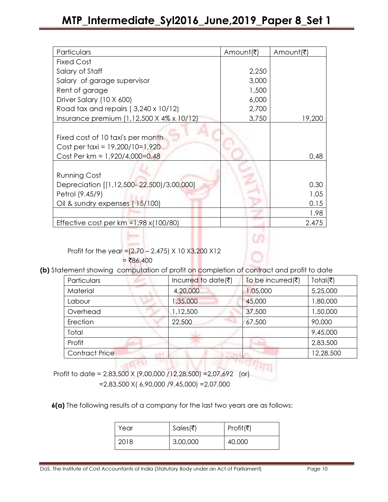| Particulars                                                          | Amount(₹) | Amo∪nt(₹) |
|----------------------------------------------------------------------|-----------|-----------|
| <b>Fixed Cost</b>                                                    |           |           |
| Salary of Staff                                                      | 2,250     |           |
| Salary of garage supervisor                                          | 3,000     |           |
| Rent of garage                                                       | 1,500     |           |
| Driver Salary (10 X 600)                                             | 6,000     |           |
| Road tax and repairs (3,240 x 10/12)                                 | 2,700     |           |
| Insurance premium (1,12,500 X 4% x 10/12)                            | 3,750     | 19,200    |
| Fixed cost of 10 taxi's per month<br>Cost per taxi = 19,200/10=1,920 |           |           |
| Cost Per km = 1,920/4,000=0.48                                       |           | 0.48      |
| <b>Running Cost</b>                                                  |           |           |
| Depreciation [(1,12,500-22,500)/3,00,000]                            |           | 0.30      |
| Petrol (9.45/9)                                                      |           | 1.05      |
| Oil & sundry expenses (15/100)                                       |           | 0.15      |
|                                                                      |           | 1.98      |
| Effective cost per $km = 1.98 \times (100/80)$                       |           | 2.475     |

Profit for the year =  $(2.70 - 2.475)$  X 10 X3,200 X12

 $= ₹86,400$ 

(b) Statement showing computation of profit on completion of contract and profit to date

| Particulars           | Incurred to date( $\bar{\tau}$ ) | To be incurred $(\bar{\bar{\mathbf{z}}})$ | Total( $\bar{z}$ ) |
|-----------------------|----------------------------------|-------------------------------------------|--------------------|
| Material              | 4,20,000                         | 1,05,000                                  | 5,25,000           |
| Labour                | ,35,000                          | 45,000                                    | 1,80,000           |
| Overhead              | 1,12,500                         | 37,500                                    | 1,50,000           |
| Erection              | 22,500                           | 67,500                                    | 90,000             |
| Total                 |                                  |                                           | 9,45,000           |
| Profit                |                                  |                                           | 2,83,500           |
| <b>Contract Price</b> |                                  |                                           | 12,28,500          |

 Profit to date = 2,83,500 X (9,00,000 /12,28,500) =2,07,692 (or) =2,83,500 X( 6,90,000 /9,45,000) =2,07,000

6(a) The following results of a company for the last two years are as follows:

| Year | Sales(₹) | Profit(₹) |
|------|----------|-----------|
| 2018 | 3,00,000 | 40,000    |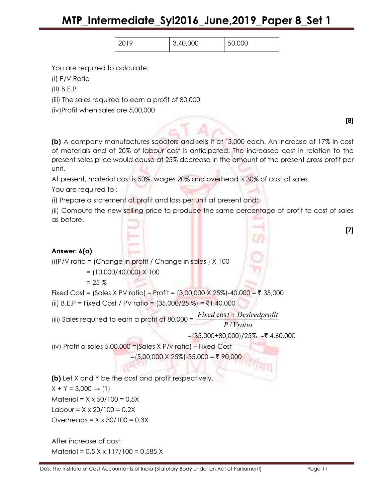| 3,40,000 | 000<br>50 |  |
|----------|-----------|--|
|          |           |  |

You are required to calculate:

(I) P/V Ratio

(II) B.E.P

(iii) The sales required to earn a profit of 80,000

(iv)Profit when sales are 5,00,000

(b) A company manufactures scooters and sells it at `3,000 each. An increase of 17% in cost of materials and of 20% of labour cost is anticipated. The increased cost in relation to the present sales price would cause at 25% decrease in the amount of the present gross profit per unit.

At present, material cost is 50%, wages 20% and overhead is 30% of cost of sales.

You are required to :

(i) Prepare a statement of profit and loss per unit at present and;

(ii) Compute the new selling price to produce the same percentage of profit to cost of sales as before.

# Answer: 6(a)

(i)P/V ratio = (Change in profit / Change in sales ) X 100

 $= (10,000/40,000) \times 100$ 

 $= 25 \%$ 

Fixed Cost = (Sales X PV ratio) – Profit =  $(3,00,000 \times 25\%) - 40,000 = ₹ 35,000$ (ii) B.E.P = Fixed Cost / PV ratio =  $(35,000/25\%) = ₹1,40,000$ 

(iii) Sales required to earn a profit of  $80,000 =$ Fixed cost + Desiredprofit

P / Vratio

 $=(35,000+80,000)/25\% = ₹ 4,60,000$ 

(iv) Profit a sales 5,00,000 =(Sales X P/v ratio) – Fixed Cost

 $=(5,00,000 \times 25\%) - 35,000 = ₹ 90,000$ 

(b) Let X and Y be the cost and profit respectively.  $X + Y = 3,000 \rightarrow (1)$  $Materal = X \times 50/100 = 0.5X$ Labour =  $X \times 20/100 = 0.2X$ 

Overheads =  $X \times 30/100 = 0.3X$ 

After increase of cost: Material = 0.5 X x 117/100 = 0.585 X

[8]

[7]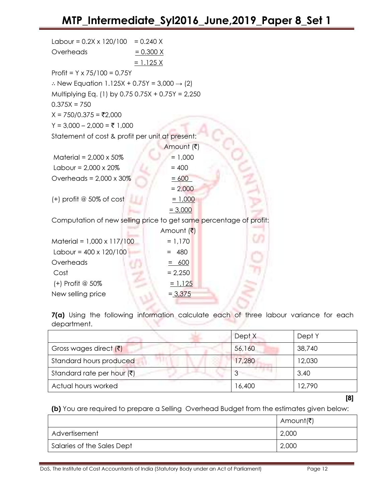| Labour = $0.2X \times 120/100 = 0.240 X$                           |                  |  |
|--------------------------------------------------------------------|------------------|--|
| Overheads                                                          | $= 0.300 X$      |  |
|                                                                    | <u>= 1.125 X</u> |  |
| Profit = $Y \times 75/100 = 0.75Y$                                 |                  |  |
| : New Equation 1.125X + 0.75Y = 3,000 $\rightarrow$ (2)            |                  |  |
| Multiplying Eq. (1) by 0.75 0.75X + 0.75Y = 2,250                  |                  |  |
| $0.375X = 750$                                                     |                  |  |
| $X = 750/0.375 = ₹2,000$                                           |                  |  |
| $Y = 3,000 - 2,000 = ₹ 1,000$                                      |                  |  |
| Statement of cost & profit per unit at present:                    |                  |  |
|                                                                    | Amount (そ)       |  |
| Material = $2,000 \times 50\%$                                     | $= 1,000$        |  |
| Labour = $2,000 \times 20\%$                                       | $= 400$          |  |
| Overheads = $2,000 \times 30\%$                                    | $= 600$          |  |
|                                                                    | $= 2,000$        |  |
| $(+)$ profit @ 50% of cost                                         | $= 1,000$        |  |
|                                                                    | $= 3,000$        |  |
| Computation of new selling price to get same percentage of profit: |                  |  |
|                                                                    | Amount (₹)       |  |
| Material = $1,000 \times 117/100$                                  | $= 1,170$        |  |
| Labour = $400 \times 120/100$                                      | 480              |  |
| Overheads                                                          | $= 600$          |  |
| Cost                                                               | $= 2,250$        |  |
| (+) Profit @ 50%                                                   | $= 1,125$        |  |
| New selling price                                                  | $= 3,375$        |  |

7(a) Using the following information calculate each of three labour variance for each department.

|                                    | Dept X | Dept Y |
|------------------------------------|--------|--------|
| Gross wages direct $(7)$           | 56,160 | 38,740 |
| Standard hours produced            | 17,280 | 12,030 |
| Standard rate per hour $(\bar{x})$ |        | 3.40   |
| Actual hours worked                | 16,400 | 12,790 |

[8]

(b) You are required to prepare a Selling Overhead Budget from the estimates given below:

|                            | Amo∪nt(₹) |
|----------------------------|-----------|
| Advertisement              | 2,000     |
| Salaries of the Sales Dept | 2,000     |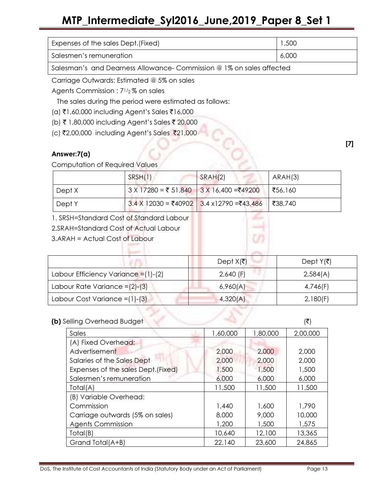# MTP\_Intermediate\_Syl2016\_June,2019\_Paper 8\_Set 1

| Expenses of the sales Dept. (Fixed)                                  | 1,500 |  |
|----------------------------------------------------------------------|-------|--|
| Salesmen's remuneration                                              | 6,000 |  |
| Salesman's and Dearness Allowance- Commission @ 1% on sales affected |       |  |

Carriage Outwards: Estimated @ 5% on sales

Agents Commission : 71/2 % on sales

The sales during the period were estimated as follows:

- $(a)$  ₹1,60,000 including Agent's Sales ₹16,000
- (b) ₹ 1,80,000 including Agent's Sales ₹ 20,000
- (c) ₹2,00,000 including Agent's Sales ₹21,000

## Answer:7(a)

Computation of Required Values

|                                          | SRSH(1)                | SRAH(2)                      | ARAH(3)               |
|------------------------------------------|------------------------|------------------------------|-----------------------|
| Dept X                                   | $3 X 17280 = ₹ 51,840$ | $3 X 16,400 = ₹49200$        | ₹56,160               |
| Dept Y                                   | $3.4$ X 12030 = ₹40902 | $3.4 \times 12790 = ₹43,486$ | ₹38,740               |
| 1. SRSH=Standard Cost of Standard Labour |                        |                              |                       |
| 2.SRAH=Standard Cost of Actual Labour    |                        |                              |                       |
| 3.ARAH = Actual Cost of Labour           |                        | O)                           |                       |
|                                          |                        |                              |                       |
|                                          |                        | Dept $X(\bar{z})$            | Dept $Y(\bar{\zeta})$ |
| Labour Efficiency Variance = (1)-(2)     |                        | $2,640$ (F)                  | 2,584(A)              |
| Labour Rate Variance $=(2)-(3)$          |                        | 6,960(A)                     | 4,746(F)              |
| Labour Cost Variance = (1)-(3)           |                        | 4,320(A)                     | 2,180(F)              |

### $(b)$  Selling Overhead Budget ( $\vec{\tau}$ ) ( $\vec{\tau}$ )

|                                     |          |          | $\sqrt{ }$ |
|-------------------------------------|----------|----------|------------|
| Sales                               | 1,60,000 | 1,80,000 | 2,00,000   |
| (A) Fixed Overhead:                 |          |          |            |
| Advertisement                       | 2,000    | 2,000    | 2,000      |
| Salaries of the Sales Dept          | 2,000    | 2,000    | 2,000      |
| Expenses of the sales Dept. (Fixed) | 1,500    | 1,500    | 1,500      |
| Salesmen's remuneration             | 6,000    | 6,000    | 6,000      |
| Total(A)                            | 11,500   | 11,500   | 11,500     |
| (B) Variable Overhead:              |          |          |            |
| Commission                          | 1,440    | 1,600    | 1,790      |
| Carriage outwards (5% on sales)     | 8,000    | 9,000    | 10,000     |
| <b>Agents Commission</b>            | 1,200    | 1,500    | 1,575      |
| Total(B)                            | 10,640   | 12,100   | 13,365     |
| Grand Total(A+B)                    | 22,140   | 23,600   | 24,865     |

DoS, The Institute of Cost Accountants of India (Statutory Body under an Act of Parliament) Page 13

[7]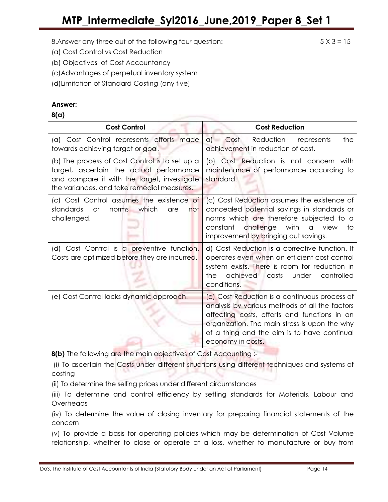- (a) Cost Control vs Cost Reduction
- (b) Objectives of Cost Accountancy
- (c)Advantages of perpetual inventory system
- (d)Limitation of Standard Costing (any five)

### Answer:

### 8(a)

| <b>Cost Control</b>                                                                                                                                                                                                                                                                                           | <b>Cost Reduction</b>                                                                                                                                                                                                                                                |  |
|---------------------------------------------------------------------------------------------------------------------------------------------------------------------------------------------------------------------------------------------------------------------------------------------------------------|----------------------------------------------------------------------------------------------------------------------------------------------------------------------------------------------------------------------------------------------------------------------|--|
| (a) Cost Control represents efforts made<br>towards achieving target or goal.                                                                                                                                                                                                                                 | a) Cost Reduction<br>the<br>represents<br>achievement in reduction of cost.                                                                                                                                                                                          |  |
| (b) The process of Cost Control is to set up a<br>target, ascertain the actual performance<br>and compare it with the target, investigate<br>the variances, and take remedial measures.                                                                                                                       | (b) Cost Reduction is not concern with<br>maintenance of performance according to<br>standard.                                                                                                                                                                       |  |
| (c) Cost Control assumes the existence of<br>standards<br>which<br>norms<br><b>or</b><br>are<br>not<br>challenged.                                                                                                                                                                                            | (c) Cost Reduction assumes the existence of<br>concealed potential savings in standards or<br>norms which are therefore subjected to a<br>constant challenge with<br>a view<br>to<br>improvement by bringing out savings.                                            |  |
| (d) Cost Control is a preventive function.<br>d) Cost Reduction is a corrective function. It<br>operates even when an efficient cost control<br>Costs are optimized before they are incurred.<br>system exists. There is room for reduction in<br>achieved costs<br>under<br>controlled<br>the<br>conditions. |                                                                                                                                                                                                                                                                      |  |
| (e) Cost Control lacks dynamic approach.                                                                                                                                                                                                                                                                      | (e) Cost Reduction is a continuous process of<br>analysis by various methods of all the factors<br>affecting costs, efforts and functions in an<br>organization. The main stress is upon the why<br>of a thing and the aim is to have continual<br>economy in costs. |  |

8(b) The following are the main objectives of Cost Accounting :-

 (i) To ascertain the Costs under different situations using different techniques and systems of costing

(ii) To determine the selling prices under different circumstances

(iii) To determine and control efficiency by setting standards for Materials, Labour and Overheads

(iv) To determine the value of closing inventory for preparing financial statements of the concern

(v) To provide a basis for operating policies which may be determination of Cost Volume relationship, whether to close or operate at a loss, whether to manufacture or buy from